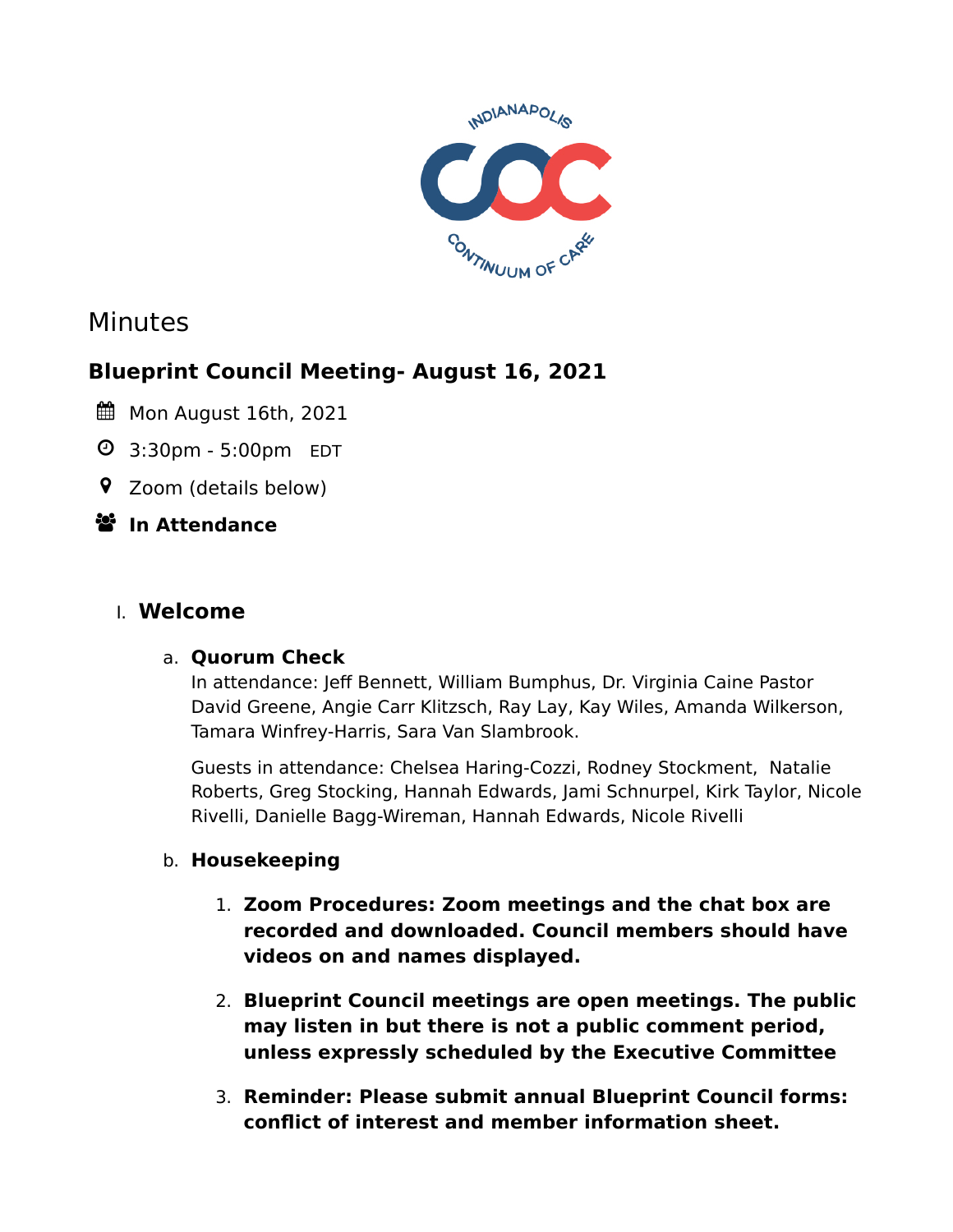

# Minutes

## **Blueprint Council Meeting- August 16, 2021**

- Mon August 16th, 2021
- 3:30pm 5:00pm EDT
- Zoom (details below)

### **In Attendance**

### I. **Welcome**

### a. **Quorum Check**

In attendance: Jeff Bennett, William Bumphus, Dr. Virginia Caine Pastor David Greene, Angie Carr Klitzsch, Ray Lay, Kay Wiles, Amanda Wilkerson, Tamara Winfrey-Harris, Sara Van Slambrook.

Guests in attendance: Chelsea Haring-Cozzi, Rodney Stockment, Natalie Roberts, Greg Stocking, Hannah Edwards, Jami Schnurpel, Kirk Taylor, Nicole Rivelli, Danielle Bagg-Wireman, Hannah Edwards, Nicole Rivelli

### b. **Housekeeping**

- 1. **Zoom Procedures: Zoom meetings and the chat box are recorded and downloaded. Council members should have videos on and names displayed.**
- 2. **Blueprint Council meetings are open meetings. The public may listen in but there is not a public comment period, unless expressly scheduled by the Executive Committee**
- 3. **Reminder: Please submit annual Blueprint Council forms: conflict of interest and member information sheet.**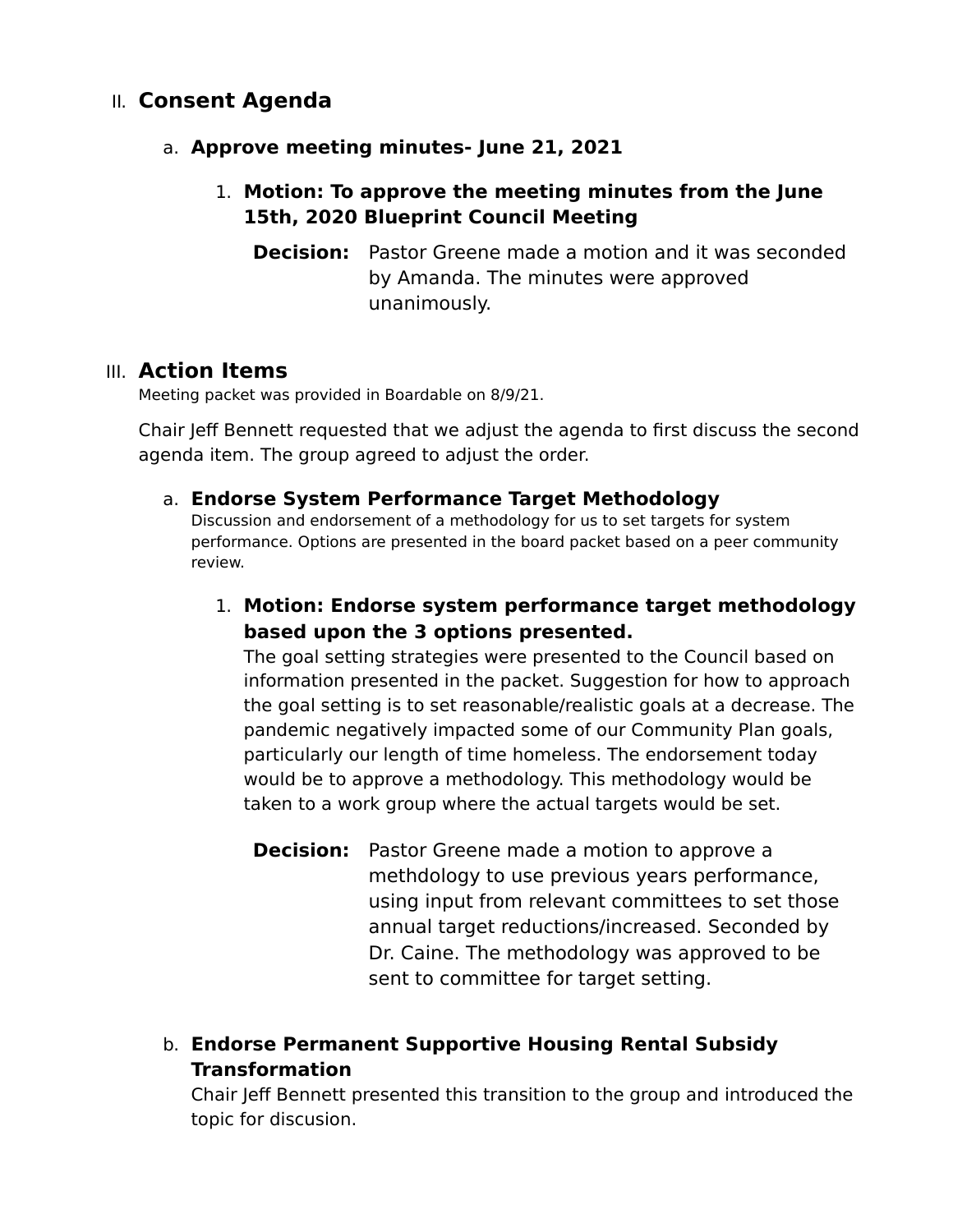### II. **Consent Agenda**

#### a. **Approve meeting minutes- June 21, 2021**

### 1. **Motion: To approve the meeting minutes from the June 15th, 2020 Blueprint Council Meeting**

**Decision:** Pastor Greene made a motion and it was seconded by Amanda. The minutes were approved unanimously.

### III. **Action Items**

Meeting packet was provided in Boardable on 8/9/21.

Chair Jeff Bennett requested that we adjust the agenda to first discuss the second agenda item. The group agreed to adjust the order.

#### a. **Endorse System Performance Target Methodology**

Discussion and endorsement of a methodology for us to set targets for system performance. Options are presented in the board packet based on a peer community review.

1. **Motion: Endorse system performance target methodology based upon the 3 options presented.**

The goal setting strategies were presented to the Council based on information presented in the packet. Suggestion for how to approach the goal setting is to set reasonable/realistic goals at a decrease. The pandemic negatively impacted some of our Community Plan goals, particularly our length of time homeless. The endorsement today would be to approve a methodology. This methodology would be taken to a work group where the actual targets would be set.

**Decision:** Pastor Greene made a motion to approve a methdology to use previous years performance, using input from relevant committees to set those annual target reductions/increased. Seconded by Dr. Caine. The methodology was approved to be sent to committee for target setting.

### b. **Endorse Permanent Supportive Housing Rental Subsidy Transformation**

Chair Jeff Bennett presented this transition to the group and introduced the topic for discusion.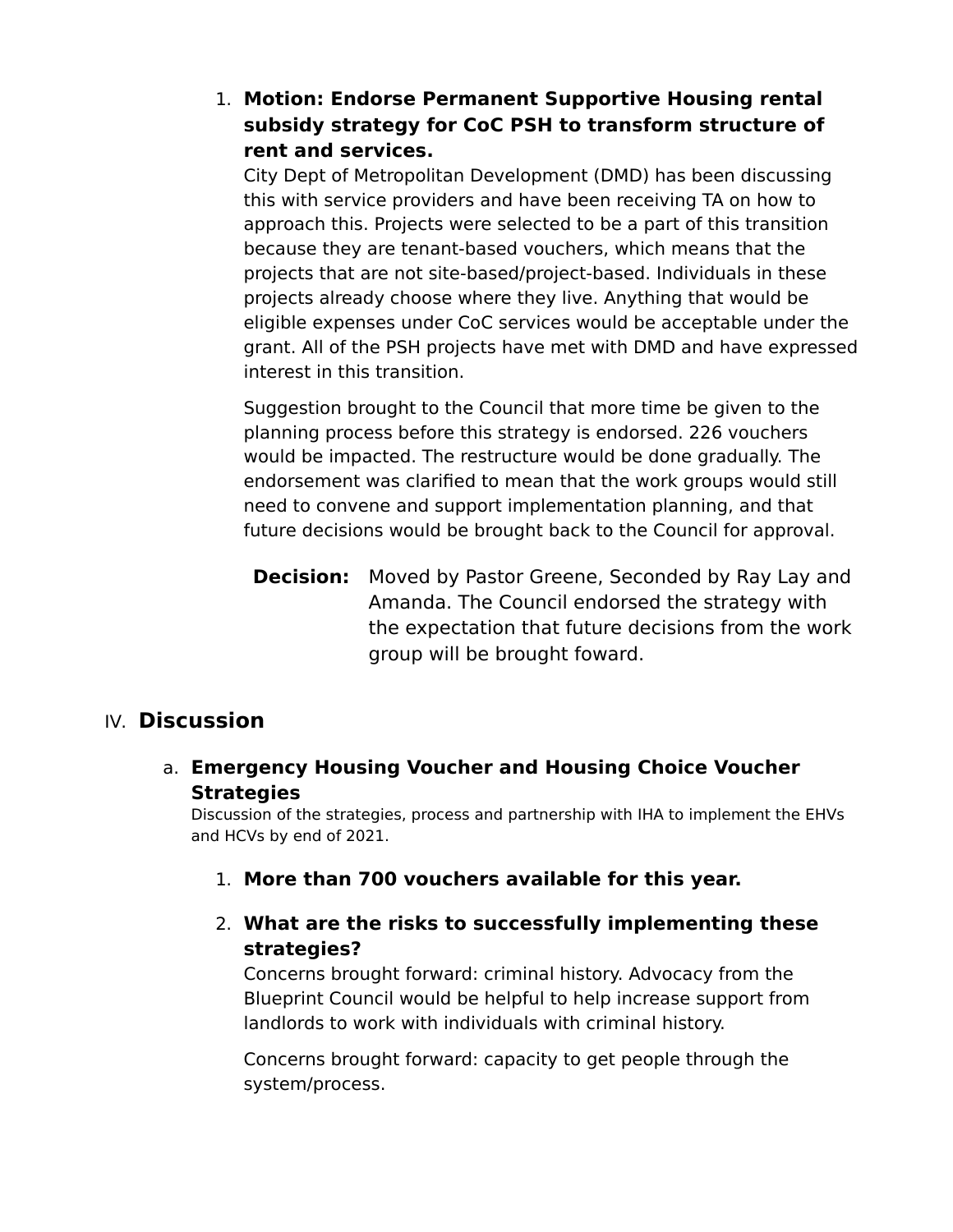### 1. **Motion: Endorse Permanent Supportive Housing rental subsidy strategy for CoC PSH to transform structure of rent and services.**

City Dept of Metropolitan Development (DMD) has been discussing this with service providers and have been receiving TA on how to approach this. Projects were selected to be a part of this transition because they are tenant-based vouchers, which means that the projects that are not site-based/project-based. Individuals in these projects already choose where they live. Anything that would be eligible expenses under CoC services would be acceptable under the grant. All of the PSH projects have met with DMD and have expressed interest in this transition.

Suggestion brought to the Council that more time be given to the planning process before this strategy is endorsed. 226 vouchers would be impacted. The restructure would be done gradually. The endorsement was clarified to mean that the work groups would still need to convene and support implementation planning, and that future decisions would be brought back to the Council for approval.

**Decision:** Moved by Pastor Greene, Seconded by Ray Lay and Amanda. The Council endorsed the strategy with the expectation that future decisions from the work group will be brought foward.

### IV. **Discussion**

a. **Emergency Housing Voucher and Housing Choice Voucher Strategies**

Discussion of the strategies, process and partnership with IHA to implement the EHVs and HCVs by end of 2021.

- 1. **More than 700 vouchers available for this year.**
- 2. **What are the risks to successfully implementing these strategies?**

Concerns brought forward: criminal history. Advocacy from the Blueprint Council would be helpful to help increase support from landlords to work with individuals with criminal history.

Concerns brought forward: capacity to get people through the system/process.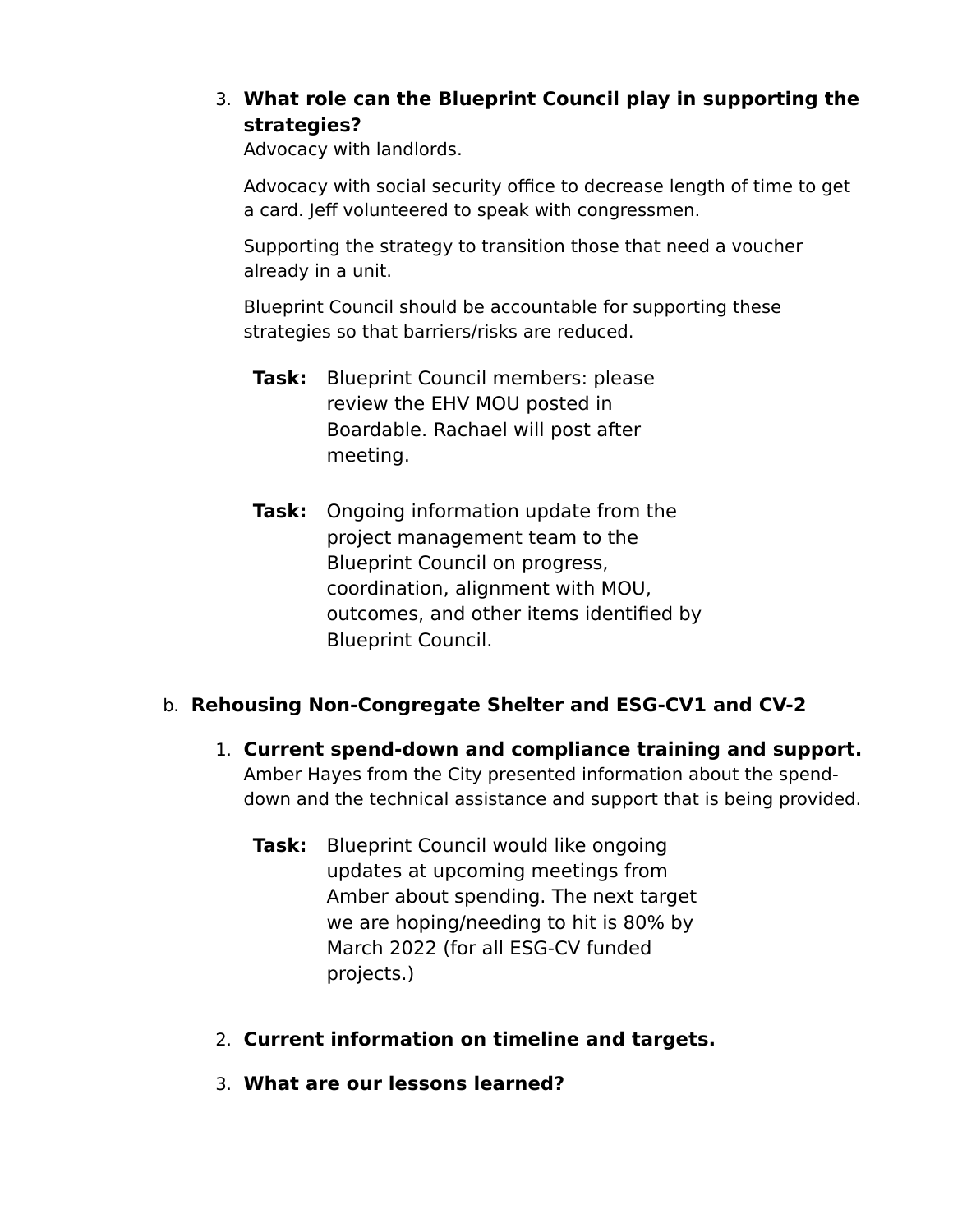### 3. **What role can the Blueprint Council play in supporting the strategies?**

Advocacy with landlords.

Advocacy with social security office to decrease length of time to get a card. Jeff volunteered to speak with congressmen.

Supporting the strategy to transition those that need a voucher already in a unit.

Blueprint Council should be accountable for supporting these strategies so that barriers/risks are reduced.

- **Task:** Blueprint Council members: please review the EHV MOU posted in Boardable. Rachael will post after meeting.
- **Task:** Ongoing information update from the project management team to the Blueprint Council on progress, coordination, alignment with MOU, outcomes, and other items identified by Blueprint Council.

#### b. **Rehousing Non-Congregate Shelter and ESG-CV1 and CV-2**

- 1. **Current spend-down and compliance training and support.** Amber Hayes from the City presented information about the spenddown and the technical assistance and support that is being provided.
	- **Task:** Blueprint Council would like ongoing updates at upcoming meetings from Amber about spending. The next target we are hoping/needing to hit is 80% by March 2022 (for all ESG-CV funded projects.)
- 2. **Current information on timeline and targets.**
- 3. **What are our lessons learned?**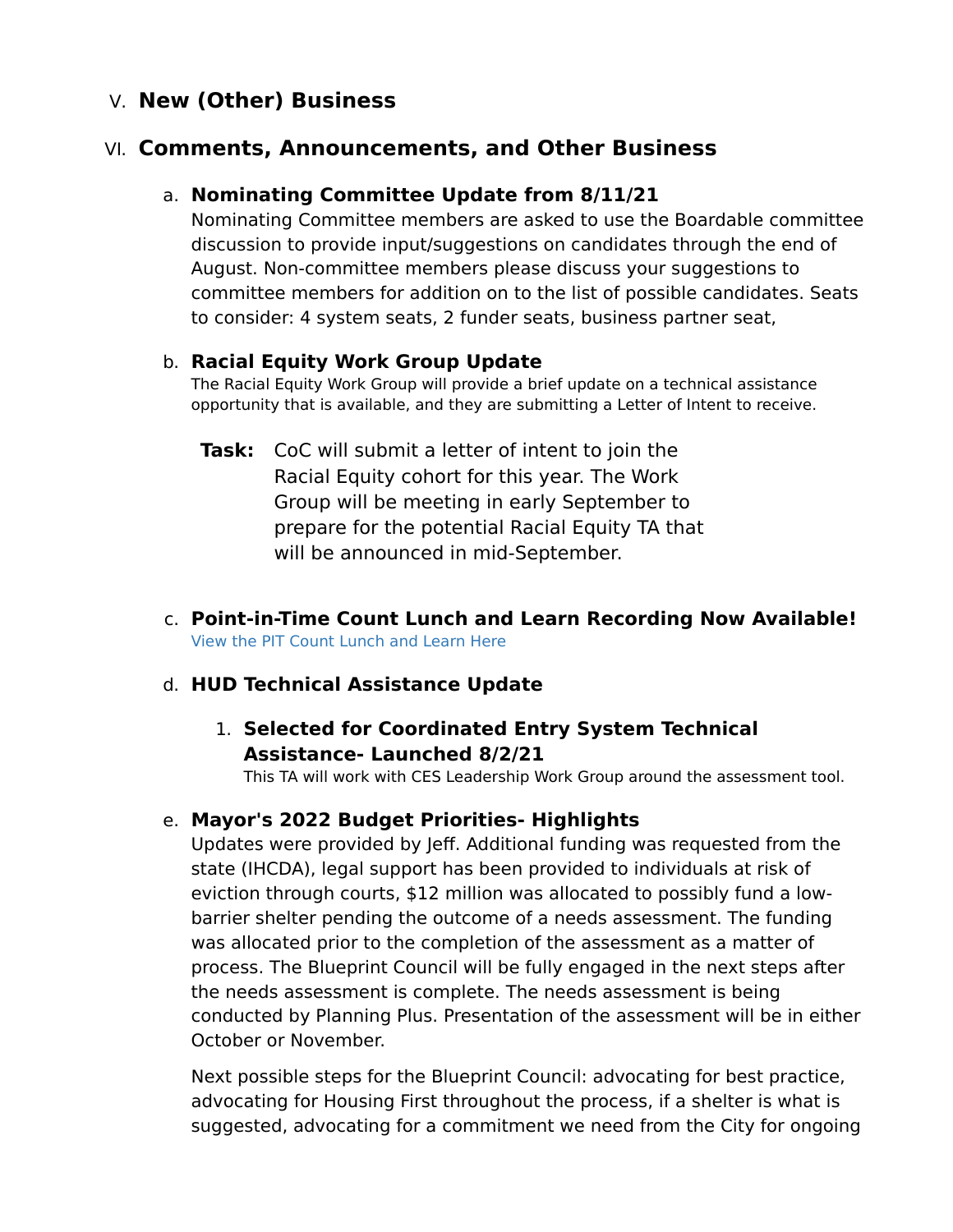### V. **New (Other) Business**

### VI. **Comments, Announcements, and Other Business**

### a. **Nominating Committee Update from 8/11/21**

Nominating Committee members are asked to use the Boardable committee discussion to provide input/suggestions on candidates through the end of August. Non-committee members please discuss your suggestions to committee members for addition on to the list of possible candidates. Seats to consider: 4 system seats, 2 funder seats, business partner seat,

#### b. **Racial Equity Work Group Update**

The Racial Equity Work Group will provide a brief update on a technical assistance opportunity that is available, and they are submitting a Letter of Intent to receive.

- **Task:** CoC will submit a letter of intent to join the Racial Equity cohort for this year. The Work Group will be meeting in early September to prepare for the potential Racial Equity TA that will be announced in mid-September.
- c. **Point-in-Time Count Lunch and Learn Recording Now Available!** [View the PIT Count Lunch and Learn Here](https://youtu.be/sQfM0L0GZK8)

### d. **HUD Technical Assistance Update**

### 1. **Selected for Coordinated Entry System Technical Assistance- Launched 8/2/21**

This TA will work with CES Leadership Work Group around the assessment tool.

### e. **Mayor's 2022 Budget Priorities- Highlights**

Updates were provided by Jeff. Additional funding was requested from the state (IHCDA), legal support has been provided to individuals at risk of eviction through courts, \$12 million was allocated to possibly fund a lowbarrier shelter pending the outcome of a needs assessment. The funding was allocated prior to the completion of the assessment as a matter of process. The Blueprint Council will be fully engaged in the next steps after the needs assessment is complete. The needs assessment is being conducted by Planning Plus. Presentation of the assessment will be in either October or November.

Next possible steps for the Blueprint Council: advocating for best practice, advocating for Housing First throughout the process, if a shelter is what is suggested, advocating for a commitment we need from the City for ongoing